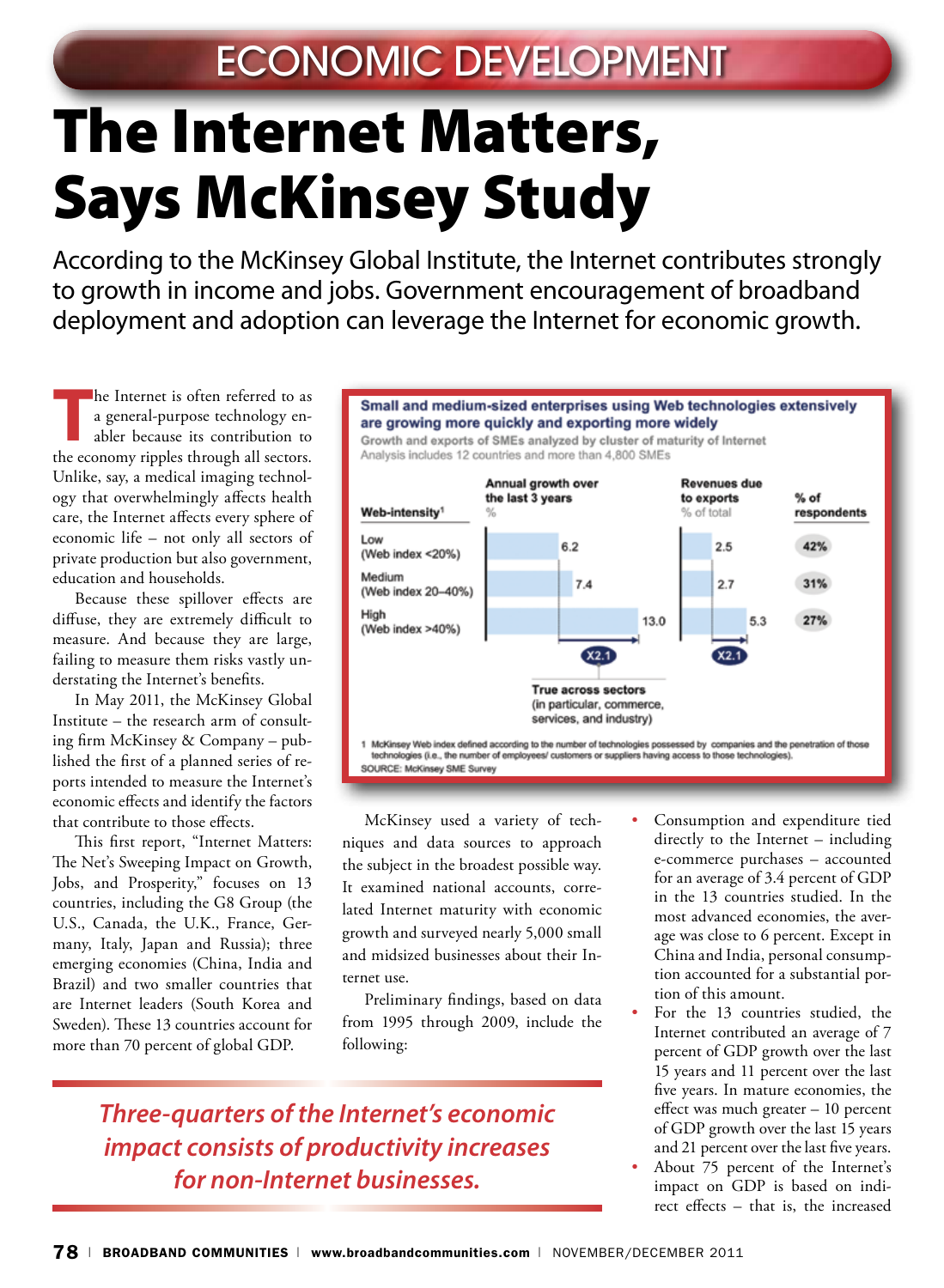## The Internet Matters, Says McKinsey Study

According to the McKinsey Global Institute, the Internet contributes strongly to growth in income and jobs. Government encouragement of broadband deployment and adoption can leverage the Internet for economic growth.

**The Internet is often referred to as<br>a general-purpose technology en-<br>abler because its contribution to** a general-purpose technology enabler because its contribution to the economy ripples through all sectors. Unlike, say, a medical imaging technology that overwhelmingly affects health care, the Internet affects every sphere of economic life – not only all sectors of private production but also government, education and households.

Because these spillover effects are diffuse, they are extremely difficult to measure. And because they are large, failing to measure them risks vastly understating the Internet's benefits.

In May 2011, the McKinsey Global Institute – the research arm of consulting firm McKinsey & Company – published the first of a planned series of reports intended to measure the Internet's economic effects and identify the factors that contribute to those effects.

This first report, "Internet Matters: The Net's Sweeping Impact on Growth, Jobs, and Prosperity," focuses on 13 countries, including the G8 Group (the U.S., Canada, the U.K., France, Germany, Italy, Japan and Russia); three emerging economies (China, India and Brazil) and two smaller countries that are Internet leaders (South Korea and Sweden). These 13 countries account for more than 70 percent of global GDP.



McKinsey used a variety of techniques and data sources to approach the subject in the broadest possible way. It examined national accounts, correlated Internet maturity with economic growth and surveyed nearly 5,000 small and midsized businesses about their Internet use.

Preliminary findings, based on data from 1995 through 2009, include the following:

*Three-quarters of the Internet's economic impact consists of productivity increases for non-Internet businesses.*

- Consumption and expenditure tied directly to the Internet – including e-commerce purchases – accounted for an average of 3.4 percent of GDP in the 13 countries studied. In the most advanced economies, the average was close to 6 percent. Except in China and India, personal consumption accounted for a substantial portion of this amount.
- For the 13 countries studied, the Internet contributed an average of 7 percent of GDP growth over the last 15 years and 11 percent over the last five years. In mature economies, the effect was much greater – 10 percent of GDP growth over the last 15 years and 21 percent over the last five years.
- About 75 percent of the Internet's impact on GDP is based on indirect effects – that is, the increased